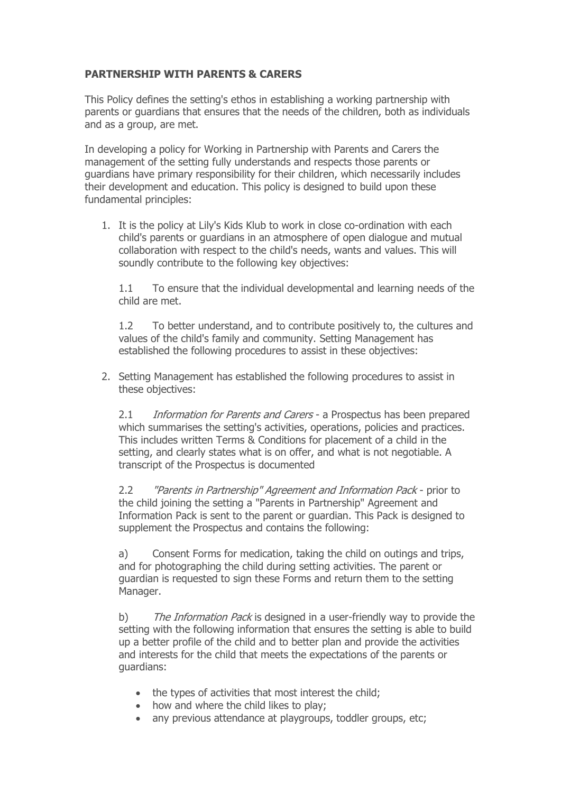## **PARTNERSHIP WITH PARENTS & CARERS**

This Policy defines the setting's ethos in establishing a working partnership with parents or guardians that ensures that the needs of the children, both as individuals and as a group, are met.

In developing a policy for Working in Partnership with Parents and Carers the management of the setting fully understands and respects those parents or guardians have primary responsibility for their children, which necessarily includes their development and education. This policy is designed to build upon these fundamental principles:

1. It is the policy at Lily's Kids Klub to work in close co-ordination with each child's parents or guardians in an atmosphere of open dialogue and mutual collaboration with respect to the child's needs, wants and values. This will soundly contribute to the following key objectives:

1.1 To ensure that the individual developmental and learning needs of the child are met.

1.2 To better understand, and to contribute positively to, the cultures and values of the child's family and community. Setting Management has established the following procedures to assist in these objectives:

2. Setting Management has established the following procedures to assist in these objectives:

2.1 Information for Parents and Carers - a Prospectus has been prepared which summarises the setting's activities, operations, policies and practices. This includes written Terms & Conditions for placement of a child in the setting, and clearly states what is on offer, and what is not negotiable. A transcript of the Prospectus is documented

2.2 "Parents in Partnership" Agreement and Information Pack - prior to the child joining the setting a "Parents in Partnership" Agreement and Information Pack is sent to the parent or guardian. This Pack is designed to supplement the Prospectus and contains the following:

a) Consent Forms for medication, taking the child on outings and trips, and for photographing the child during setting activities. The parent or guardian is requested to sign these Forms and return them to the setting Manager.

b) The Information Pack is designed in a user-friendly way to provide the setting with the following information that ensures the setting is able to build up a better profile of the child and to better plan and provide the activities and interests for the child that meets the expectations of the parents or guardians:

- the types of activities that most interest the child;
- how and where the child likes to play;
- any previous attendance at playgroups, toddler groups, etc;